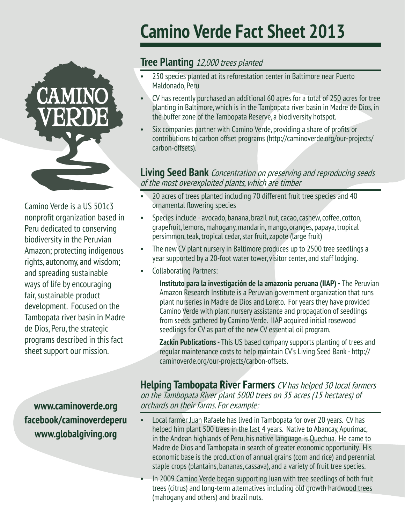

Camino Verde is a US 501c3 nonprofit organization based in Peru dedicated to conserving biodiversity in the Peruvian Amazon; protecting indigenous rights, autonomy, and wisdom; and spreading sustainable ways of life by encouraging fair, sustainable product development. Focused on the Tambopata river basin in Madre de Dios, Peru, the strategic programs described in this fact sheet support our mission.

**facebook/caminoverdeperu www.globalgiving.org**

## **Camino Verde Fact Sheet 2013**

## **Tree Planting** 12,000 trees planted

- 250 species planted at its reforestation center in Baltimore near Puerto Maldonado, Peru
- CV has recently purchased an additional 60 acres for a total of 250 acres for tree planting in Baltimore, which is in the Tambopata river basin in Madre de Dios, in the buffer zone of the Tambopata Reserve, a biodiversity hotspot.
- Six companies partner with Camino Verde, providing a share of profits or contributions to carbon offset programs (http://caminoverde.org/our-projects/ carbon-offsets).

## **Living Seed Bank** Concentration on preserving and reproducing seeds of the most overexploited plants, which are timber

- 20 acres of trees planted including 70 different fruit tree species and 40 ornamental flowering species
- Species include avocado, banana, brazil nut, cacao, cashew, coffee, cotton, grapefruit, lemons, mahogany, mandarin, mango, oranges, papaya, tropical persimmon, teak, tropical cedar, star fruit, zapote (large fruit)
- The new CV plant nursery in Baltimore produces up to 2500 tree seedlings a year supported by a 20-foot water tower, visitor center, and staff lodging.
- Collaborating Partners:

**Instituto para la investigación de la amazonía peruana (IIAP) -** The Peruvian Amazon Research Institute is a Peruvian government organization that runs plant nurseries in Madre de Dios and Loreto. For years they have provided Camino Verde with plant nursery assistance and propagation of seedlings from seeds gathered by Camino Verde. IIAP acquired initial rosewood seedlings for CV as part of the new CV essential oil program.

**Zackin Publications - This US based company supports planting of trees and** regular maintenance costs to help maintain CV's Living Seed Bank - http:// caminoverde.org/our-projects/carbon-offsets.

**Helping Tambopata River Farmers** CV has helped 30 local farmers on the Tambopata River plant 5000 trees on 35 acres (15 hectares) of **www.caminoverde.org** orchards on their farms. For example:

- Local farmer Juan Rafaele has lived in Tambopata for over 20 years. CV has helped him plant 500 trees in the last 4 years. Native to Abancay, Apurimac, in the Andean highlands of Peru, his native language is Quechua. He came to Madre de Dios and Tambopata in search of greater economic opportunity. His economic base is the production of annual grains (corn and rice) and perennial staple crops (plantains, bananas, cassava), and a variety of fruit tree species.
- In 2009 Camino Verde began supporting Juan with tree seedlings of both fruit trees (citrus) and long-term alternatives including old growth hardwood trees (mahogany and others) and brazil nuts.